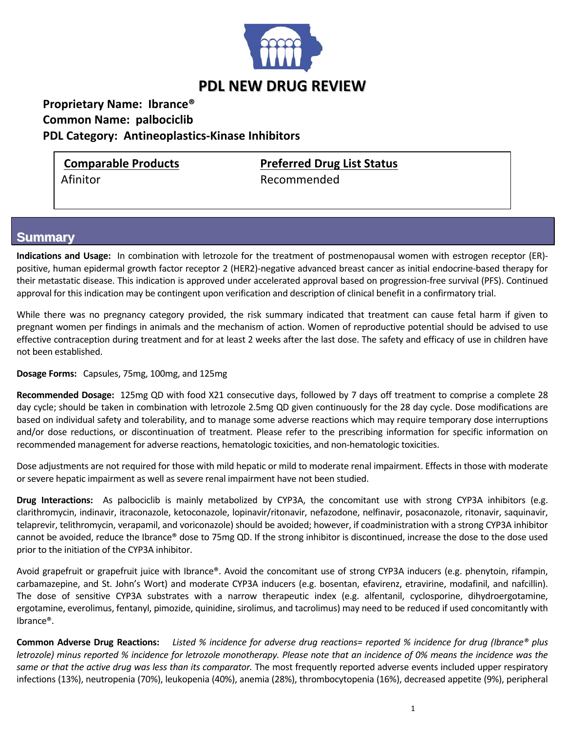

## **Proprietary Name: Ibrance® Common Name: palbociclib**

 **PDL Category: Antineoplastics‐Kinase Inhibitors**

**Comparable Products Preferred Drug List Status** Afinitor **Branch** Recommended

## **Summary**

**Indications and Usage:** In combination with letrozole for the treatment of postmenopausal women with estrogen receptor (ER)‐ positive, human epidermal growth factor receptor 2 (HER2)‐negative advanced breast cancer as initial endocrine‐based therapy for their metastatic disease. This indication is approved under accelerated approval based on progression‐free survival (PFS). Continued approval for this indication may be contingent upon verification and description of clinical benefit in a confirmatory trial.

While there was no pregnancy category provided, the risk summary indicated that treatment can cause fetal harm if given to pregnant women per findings in animals and the mechanism of action. Women of reproductive potential should be advised to use effective contraception during treatment and for at least 2 weeks after the last dose. The safety and efficacy of use in children have not been established.

**Dosage Forms:**  Capsules, 75mg, 100mg, and 125mg

**Recommended Dosage:** 125mg QD with food X21 consecutive days, followed by 7 days off treatment to comprise a complete 28 day cycle; should be taken in combination with letrozole 2.5mg QD given continuously for the 28 day cycle. Dose modifications are based on individual safety and tolerability, and to manage some adverse reactions which may require temporary dose interruptions and/or dose reductions, or discontinuation of treatment. Please refer to the prescribing information for specific information on recommended management for adverse reactions, hematologic toxicities, and non‐hematologic toxicities.

Dose adjustments are not required for those with mild hepatic or mild to moderate renal impairment. Effects in those with moderate or severe hepatic impairment as well as severe renal impairment have not been studied.

**Drug Interactions:**  As palbociclib is mainly metabolized by CYP3A, the concomitant use with strong CYP3A inhibitors (e.g. clarithromycin, indinavir, itraconazole, ketoconazole, lopinavir/ritonavir, nefazodone, nelfinavir, posaconazole, ritonavir, saquinavir, telaprevir, telithromycin, verapamil, and voriconazole) should be avoided; however, if coadministration with a strong CYP3A inhibitor cannot be avoided, reduce the Ibrance® dose to 75mg QD. If the strong inhibitor is discontinued, increase the dose to the dose used prior to the initiation of the CYP3A inhibitor.

Avoid grapefruit or grapefruit juice with Ibrance®. Avoid the concomitant use of strong CYP3A inducers (e.g. phenytoin, rifampin, carbamazepine, and St. John's Wort) and moderate CYP3A inducers (e.g. bosentan, efavirenz, etravirine, modafinil, and nafcillin). The dose of sensitive CYP3A substrates with a narrow therapeutic index (e.g. alfentanil, cyclosporine, dihydroergotamine, ergotamine, everolimus, fentanyl, pimozide, quinidine, sirolimus, and tacrolimus) may need to be reduced if used concomitantly with Ibrance®.

**Common Adverse Drug Reactions:** Listed % incidence for adverse drug reactions= reported % incidence for drug (Ibrance® plus letrozole) minus reported % incidence for letrozole monotherapy. Please note that an incidence of 0% means the incidence was the *same or that the active drug was less than its comparator.* The most frequently reported adverse events included upper respiratory infections (13%), neutropenia (70%), leukopenia (40%), anemia (28%), thrombocytopenia (16%), decreased appetite (9%), peripheral